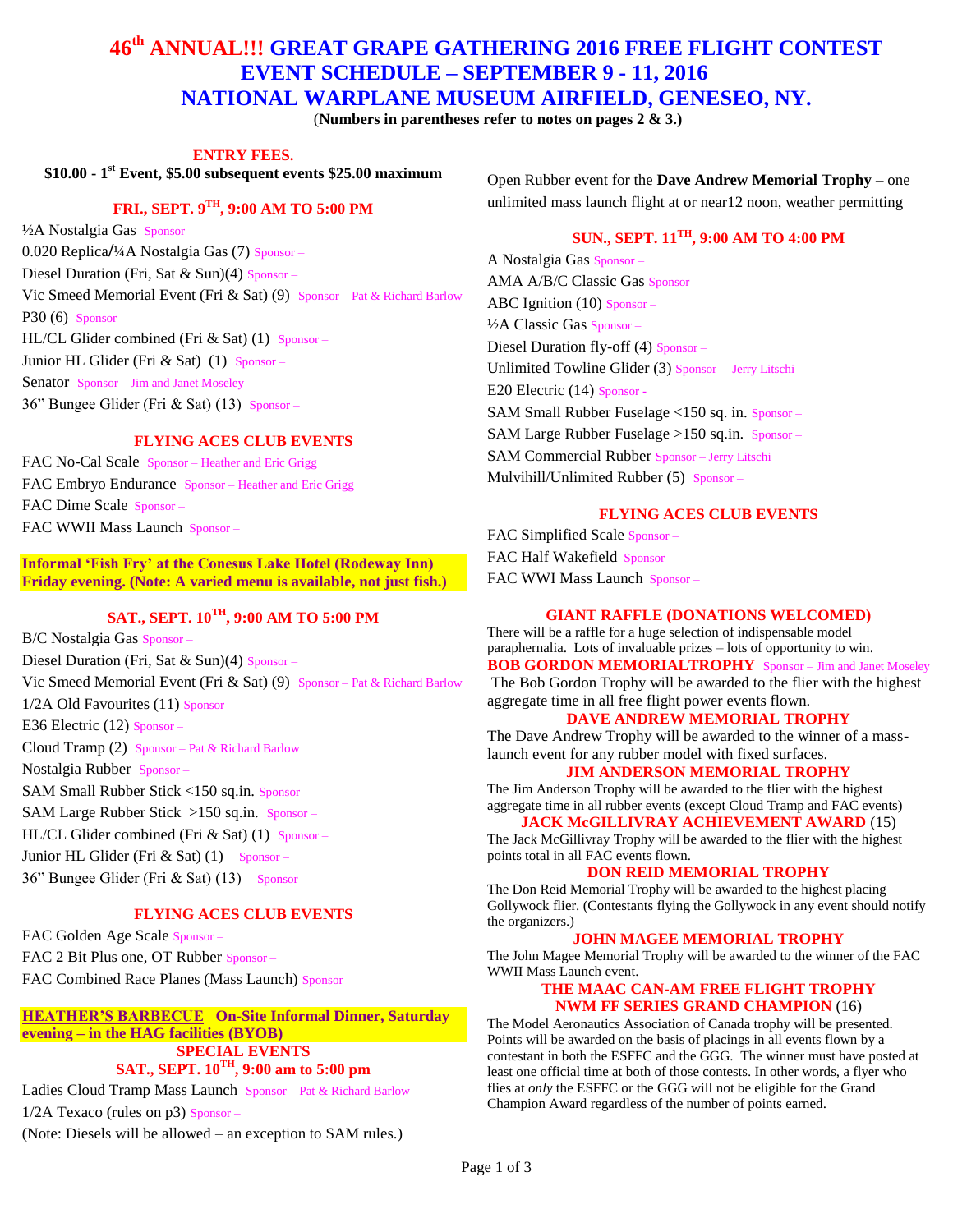# **46th ANNUAL!!! GREAT GRAPE GATHERING 2016 FREE FLIGHT CONTEST EVENT SCHEDULE – SEPTEMBER 9 - 11, 2016 NATIONAL WARPLANE MUSEUM AIRFIELD, GENESEO, NY.**

(**Numbers in parentheses refer to notes on pages 2 & 3.)**

**ENTRY FEES.**

**\$10.00 - 1 st Event, \$5.00 subsequent events \$25.00 maximum**

# **FRI., SEPT. 9TH, 9:00 AM TO 5:00 PM**

½A Nostalgia Gas Sponsor – 0.020 Replica**/**¼A Nostalgia Gas (7) Sponsor – Diesel Duration (Fri, Sat & Sun)(4) Sponsor – Vic Smeed Memorial Event (Fri & Sat) (9) Sponsor – Pat & Richard Barlow P30 (6) Sponsor – HL/CL Glider combined (Fri & Sat) (1) Sponsor – Junior HL Glider (Fri  $&$  Sat) (1) Sponsor – Senator Sponsor – Jim and Janet Moseley 36" Bungee Glider (Fri & Sat) (13) Sponsor –

### **FLYING ACES CLUB EVENTS**

FAC No-Cal Scale Sponsor – Heather and Eric Grigg FAC Embryo Endurance Sponsor – Heather and Eric Grigg FAC Dime Scale Sponsor – FAC WWII Mass Launch Sponsor –

## **Informal 'Fish Fry' at the Conesus Lake Hotel (Rodeway Inn) Friday evening. (Note: A varied menu is available, not just fish.)**

# **SAT., SEPT. 10TH, 9:00 AM TO 5:00 PM**

B/C Nostalgia Gas Sponsor – Diesel Duration (Fri, Sat & Sun)(4)  $S_{\text{ponsor}}$  – Vic Smeed Memorial Event (Fri & Sat) (9) Sponsor – Pat & Richard Barlow  $1/2A$  Old Favourites (11) Sponsor – E36 Electric (12) Sponsor – Cloud Tramp (2) Sponsor – Pat & Richard Barlow Nostalgia Rubber Sponsor – SAM Small Rubber Stick <150 sq.in. Sponsor – SAM Large Rubber Stick >150 sq.in. Sponsor – HL/CL Glider combined (Fri & Sat) (1) Sponsor – Junior HL Glider (Fri & Sat)  $(1)$  Sponsor –  $36$ " Bungee Glider (Fri & Sat) (13) Sponsor –

### **FLYING ACES CLUB EVENTS**

FAC Golden Age Scale Sponsor – FAC 2 Bit Plus one, OT Rubber Sponsor – FAC Combined Race Planes (Mass Launch) Sponsor –

## **HEATHER'S BARBECUE On-Site Informal Dinner, Saturday evening – in the HAG facilities (BYOB) SPECIAL EVENTS**

# **SAT., SEPT. 10TH, 9:00 am to 5:00 pm**

Ladies Cloud Tramp Mass Launch Sponsor – Pat & Richard Barlow  $1/2A$  Texaco (rules on p3) Sponsor –

(Note: Diesels will be allowed – an exception to SAM rules.)

Open Rubber event for the **Dave Andrew Memorial Trophy** – one unlimited mass launch flight at or near12 noon, weather permitting

# **SUN., SEPT. 11TH, 9:00 AM TO 4:00 PM**

A Nostalgia Gas Sponsor – AMA A/B/C Classic Gas Sponsor – ABC Ignition (10) Sponsor – ½A Classic Gas Sponsor – Diesel Duration fly-off (4) Sponsor – Unlimited Towline Glider (3) Sponsor – Jerry Litschi E20 Electric (14) Sponsor - SAM Small Rubber Fuselage <150 sq. in. Sponsor – SAM Large Rubber Fuselage >150 sq.in. Sponsor – SAM Commercial Rubber Sponsor – Jerry Litschi Mulvihill/Unlimited Rubber (5) Sponsor –

## **FLYING ACES CLUB EVENTS**

FAC Simplified Scale Sponsor – FAC Half Wakefield Sponsor – FAC WWI Mass Launch Sponsor –

#### **GIANT RAFFLE (DONATIONS WELCOMED)**

There will be a raffle for a huge selection of indispensable model paraphernalia. Lots of invaluable prizes – lots of opportunity to win. **BOB GORDON MEMORIALTROPHY** Sponsor – Jim and Janet Moseley The Bob Gordon Trophy will be awarded to the flier with the highest aggregate time in all free flight power events flown.

#### **DAVE ANDREW MEMORIAL TROPHY**

The Dave Andrew Trophy will be awarded to the winner of a masslaunch event for any rubber model with fixed surfaces.

### **JIM ANDERSON MEMORIAL TROPHY**

The Jim Anderson Trophy will be awarded to the flier with the highest aggregate time in all rubber events (except Cloud Tramp and FAC events) **JACK McGILLIVRAY ACHIEVEMENT AWARD** (15)

The Jack McGillivray Trophy will be awarded to the flier with the highest points total in all FAC events flown.

### **DON REID MEMORIAL TROPHY**

The Don Reid Memorial Trophy will be awarded to the highest placing Gollywock flier. (Contestants flying the Gollywock in any event should notify the organizers.)

#### **JOHN MAGEE MEMORIAL TROPHY**

The John Magee Memorial Trophy will be awarded to the winner of the FAC WWII Mass Launch event.

#### **THE MAAC CAN-AM FREE FLIGHT TROPHY NWM FF SERIES GRAND CHAMPION** (16)

The Model Aeronautics Association of Canada trophy will be presented. Points will be awarded on the basis of placings in all events flown by a contestant in both the ESFFC and the GGG. The winner must have posted at least one official time at both of those contests. In other words, a flyer who flies at *only* the ESFFC or the GGG will not be eligible for the Grand Champion Award regardless of the number of points earned.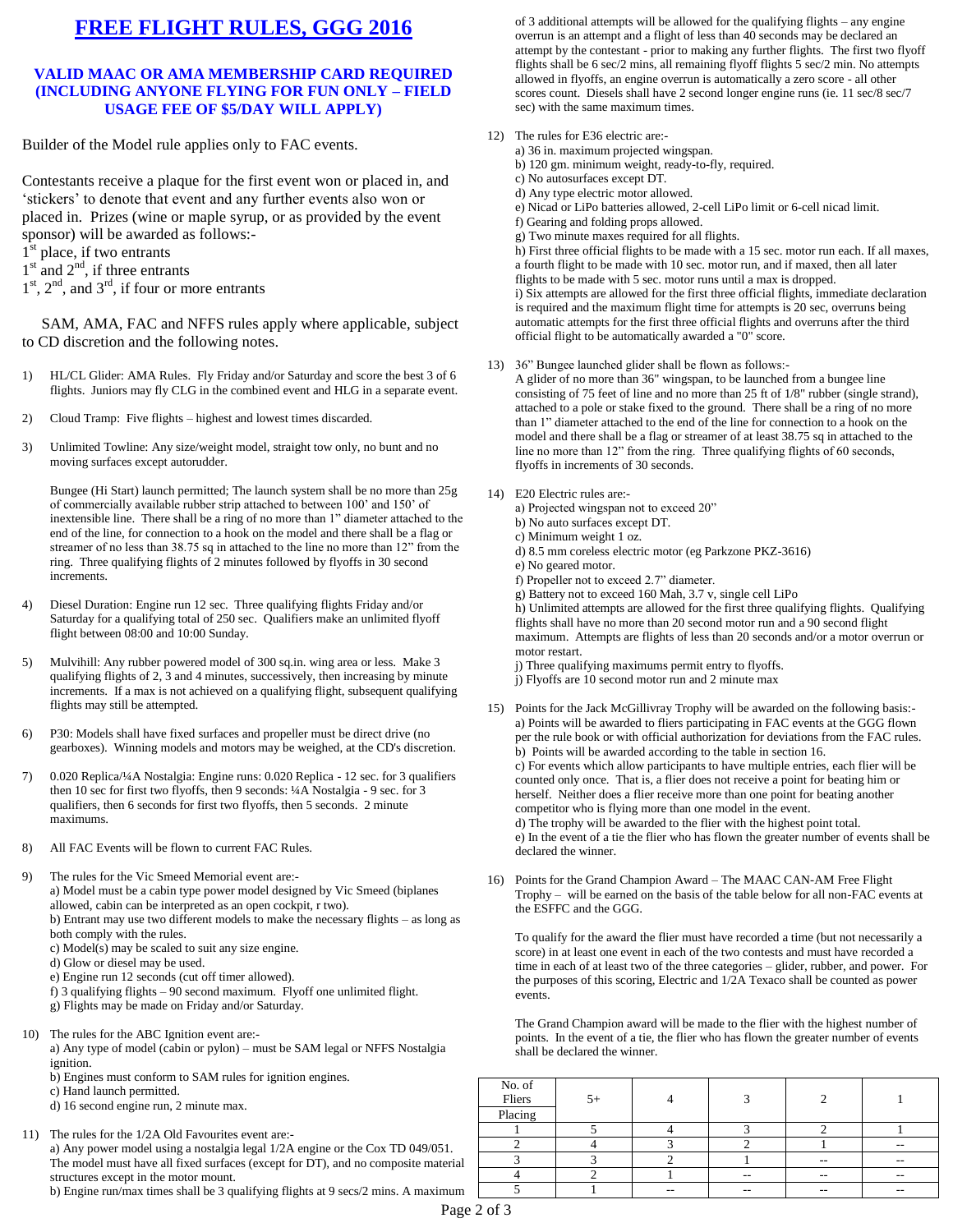# **FREE FLIGHT RULES, GGG 2016**

### **VALID MAAC OR AMA MEMBERSHIP CARD REQUIRED (INCLUDING ANYONE FLYING FOR FUN ONLY – FIELD USAGE FEE OF \$5/DAY WILL APPLY)**

Builder of the Model rule applies only to FAC events.

Contestants receive a plaque for the first event won or placed in, and 'stickers' to denote that event and any further events also won or placed in. Prizes (wine or maple syrup, or as provided by the event sponsor) will be awarded as follows:-

- 1<sup>st</sup> place, if two entrants
- $1<sup>st</sup>$  and  $2<sup>nd</sup>$ , if three entrants
- $1<sup>st</sup>$ ,  $2<sup>nd</sup>$ , and  $3<sup>rd</sup>$ , if four or more entrants

 SAM, AMA, FAC and NFFS rules apply where applicable, subject to CD discretion and the following notes.

- 1) HL/CL Glider: AMA Rules. Fly Friday and/or Saturday and score the best 3 of 6 flights. Juniors may fly CLG in the combined event and HLG in a separate event.
- 2) Cloud Tramp: Five flights highest and lowest times discarded.
- 3) Unlimited Towline: Any size/weight model, straight tow only, no bunt and no moving surfaces except autorudder.

Bungee (Hi Start) launch permitted; The launch system shall be no more than 25g of commercially available rubber strip attached to between 100' and 150' of inextensible line. There shall be a ring of no more than 1" diameter attached to the end of the line, for connection to a hook on the model and there shall be a flag or streamer of no less than 38.75 sq in attached to the line no more than 12" from the ring. Three qualifying flights of 2 minutes followed by flyoffs in 30 second increments.

- 4) Diesel Duration: Engine run 12 sec. Three qualifying flights Friday and/or Saturday for a qualifying total of 250 sec. Qualifiers make an unlimited flyoff flight between 08:00 and 10:00 Sunday.
- 5) Mulvihill: Any rubber powered model of 300 sq.in. wing area or less. Make 3 qualifying flights of 2, 3 and 4 minutes, successively, then increasing by minute increments. If a max is not achieved on a qualifying flight, subsequent qualifying flights may still be attempted.
- 6) P30: Models shall have fixed surfaces and propeller must be direct drive (no gearboxes). Winning models and motors may be weighed, at the CD's discretion.
- 7) 0.020 Replica/¼A Nostalgia: Engine runs: 0.020 Replica 12 sec. for 3 qualifiers then 10 sec for first two flyoffs, then 9 seconds: ¼A Nostalgia - 9 sec. for 3 qualifiers, then 6 seconds for first two flyoffs, then 5 seconds. 2 minute maximums.
- 8) All FAC Events will be flown to current FAC Rules.

9) The rules for the Vic Smeed Memorial event are: a) Model must be a cabin type power model designed by Vic Smeed (biplanes allowed, cabin can be interpreted as an open cockpit, r two). b) Entrant may use two different models to make the necessary flights – as long as both comply with the rules.

- c) Model(s) may be scaled to suit any size engine.
- d) Glow or diesel may be used.
- e) Engine run 12 seconds (cut off timer allowed).
- f) 3 qualifying flights 90 second maximum. Flyoff one unlimited flight.
- g) Flights may be made on Friday and/or Saturday.
- 10) The rules for the ABC Ignition event are: a) Any type of model (cabin or pylon) – must be SAM legal or NFFS Nostalgia ignition.
	- b) Engines must conform to SAM rules for ignition engines.
	- c) Hand launch permitted.
	- d) 16 second engine run, 2 minute max.
- 11) The rules for the 1/2A Old Favourites event are: a) Any power model using a nostalgia legal 1/2A engine or the Cox TD 049/051. The model must have all fixed surfaces (except for DT), and no composite material structures except in the motor mount.

b) Engine run/max times shall be 3 qualifying flights at 9 secs/2 mins. A maximum

of 3 additional attempts will be allowed for the qualifying flights – any engine overrun is an attempt and a flight of less than 40 seconds may be declared an attempt by the contestant - prior to making any further flights. The first two flyoff flights shall be 6 sec/2 mins, all remaining flyoff flights 5 sec/2 min. No attempts allowed in flyoffs, an engine overrun is automatically a zero score - all other scores count. Diesels shall have 2 second longer engine runs (ie. 11 sec/8 sec/7 sec) with the same maximum times.

- 12) The rules for E36 electric are:
	- a) 36 in. maximum projected wingspan. b) 120 gm. minimum weight, ready-to-fly, required. c) No autosurfaces except DT. d) Any type electric motor allowed. e) Nicad or LiPo batteries allowed, 2-cell LiPo limit or 6-cell nicad limit. f) Gearing and folding props allowed. g) Two minute maxes required for all flights. h) First three official flights to be made with a 15 sec. motor run each. If all maxes, a fourth flight to be made with 10 sec. motor run, and if maxed, then all later flights to be made with 5 sec. motor runs until a max is dropped. i) Six attempts are allowed for the first three official flights, immediate declaration is required and the maximum flight time for attempts is 20 sec, overruns being automatic attempts for the first three official flights and overruns after the third official flight to be automatically awarded a "0" score.
- 13) 36" Bungee launched glider shall be flown as follows:-
	- A glider of no more than 36" wingspan, to be launched from a bungee line consisting of 75 feet of line and no more than 25 ft of 1/8" rubber (single strand), attached to a pole or stake fixed to the ground. There shall be a ring of no more than 1" diameter attached to the end of the line for connection to a hook on the model and there shall be a flag or streamer of at least 38.75 sq in attached to the line no more than 12" from the ring. Three qualifying flights of 60 seconds, flyoffs in increments of 30 seconds.
- 14) E20 Electric rules are:
	- a) Projected wingspan not to exceed 20"
		- b) No auto surfaces except DT.
		- c) Minimum weight 1 oz.
		- d) 8.5 mm coreless electric motor (eg Parkzone PKZ-3616)
		- e) No geared motor.
		- f) Propeller not to exceed 2.7" diameter.
		- g) Battery not to exceed 160 Mah, 3.7 v, single cell LiPo

h) Unlimited attempts are allowed for the first three qualifying flights. Qualifying flights shall have no more than 20 second motor run and a 90 second flight maximum. Attempts are flights of less than 20 seconds and/or a motor overrun or motor restart.

- j) Three qualifying maximums permit entry to flyoffs.
- j) Flyoffs are 10 second motor run and 2 minute max
- 15) Points for the Jack McGillivray Trophy will be awarded on the following basis: a) Points will be awarded to fliers participating in FAC events at the GGG flown per the rule book or with official authorization for deviations from the FAC rules. b) Points will be awarded according to the table in section 16. c) For events which allow participants to have multiple entries, each flier will be counted only once. That is, a flier does not receive a point for beating him or herself. Neither does a flier receive more than one point for beating another competitor who is flying more than one model in the event. d) The trophy will be awarded to the flier with the highest point total. e) In the event of a tie the flier who has flown the greater number of events shall be declared the winner.
- 16) Points for the Grand Champion Award The MAAC CAN-AM Free Flight Trophy – will be earned on the basis of the table below for all non-FAC events at the ESFFC and the GGG.

To qualify for the award the flier must have recorded a time (but not necessarily a score) in at least one event in each of the two contests and must have recorded a time in each of at least two of the three categories – glider, rubber, and power. For the purposes of this scoring, Electric and 1/2A Texaco shall be counted as power events.

The Grand Champion award will be made to the flier with the highest number of points. In the event of a tie, the flier who has flown the greater number of events shall be declared the winner.

| No. of<br>Fliers | $5+$ |     |    |                          |       |
|------------------|------|-----|----|--------------------------|-------|
| Placing          |      |     |    |                          |       |
|                  |      |     |    |                          |       |
|                  |      |     |    |                          | $-$   |
|                  |      |     |    | $\overline{\phantom{m}}$ | $- -$ |
|                  |      |     | -- | $- -$                    | $- -$ |
|                  |      | $-$ | -- | $- -$                    | $- -$ |